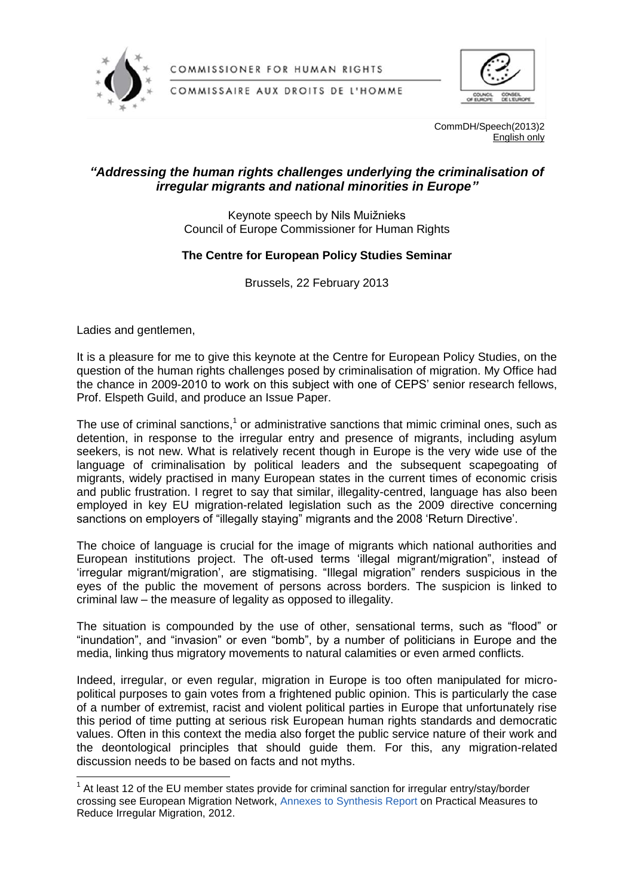

COMMISSIONER FOR HUMAN RIGHTS

COMMISSAIRE AUX DROITS DE L'HOMME



CommDH/Speech(2013)2 English only

## *"Addressing the human rights challenges underlying the criminalisation of irregular migrants and national minorities in Europe"*

Keynote speech by Nils Muižnieks Council of Europe Commissioner for Human Rights

## **The Centre for European Policy Studies Seminar**

Brussels, 22 February 2013

Ladies and gentlemen,

 $\overline{a}$ 

It is a pleasure for me to give this keynote at the Centre for European Policy Studies, on the question of the human rights challenges posed by criminalisation of migration. My Office had the chance in 2009-2010 to work on this subject with one of CEPS' senior research fellows, Prof. Elspeth Guild, and produce an Issue Paper.

The use of criminal sanctions,<sup>1</sup> or administrative sanctions that mimic criminal ones, such as detention, in response to the irregular entry and presence of migrants, including asylum seekers, is not new. What is relatively recent though in Europe is the very wide use of the language of criminalisation by political leaders and the subsequent scapegoating of migrants, widely practised in many European states in the current times of economic crisis and public frustration. I regret to say that similar, illegality-centred, language has also been employed in key EU migration-related legislation such as the 2009 directive concerning sanctions on employers of "illegally staying" migrants and the 2008 'Return Directive'.

The choice of language is crucial for the image of migrants which national authorities and European institutions project. The oft-used terms 'illegal migrant/migration", instead of 'irregular migrant/migration', are stigmatising. "Illegal migration" renders suspicious in the eyes of the public the movement of persons across borders. The suspicion is linked to criminal law – the measure of legality as opposed to illegality.

The situation is compounded by the use of other, sensational terms, such as "flood" or "inundation", and "invasion" or even "bomb", by a number of politicians in Europe and the media, linking thus migratory movements to natural calamities or even armed conflicts.

Indeed, irregular, or even regular, migration in Europe is too often manipulated for micropolitical purposes to gain votes from a frightened public opinion. This is particularly the case of a number of extremist, racist and violent political parties in Europe that unfortunately rise this period of time putting at serious risk European human rights standards and democratic values. Often in this context the media also forget the public service nature of their work and the deontological principles that should guide them. For this, any migration-related discussion needs to be based on facts and not myths.

 $1$  At least 12 of the EU member states provide for criminal sanction for irregular entry/stay/border crossing see European Migration Network, [Annexes to Synthesis Report](http://emn.intrasoft-intl.com/Downloads/prepareShowFiles.do;?entryTitle=05_Practical%20Measures%20for%20Reducing%20IRREGULAR%20MIGRATION) on Practical Measures to Reduce Irregular Migration, 2012.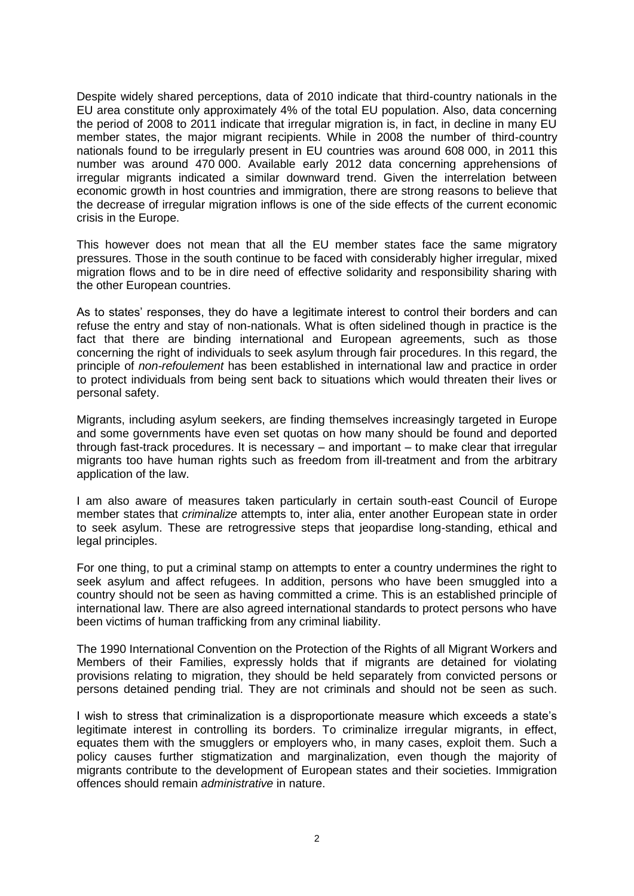Despite widely shared perceptions, data of 2010 indicate that third-country nationals in the EU area constitute only approximately 4% of the total EU population. Also, data concerning the period of 2008 to 2011 indicate that irregular migration is, in fact, in decline in many EU member states, the major migrant recipients. While in 2008 the number of third-country nationals found to be irregularly present in EU countries was around 608 000, in 2011 this number was around 470 000. Available early 2012 data concerning apprehensions of irregular migrants indicated a similar downward trend. Given the interrelation between economic growth in host countries and immigration, there are strong reasons to believe that the decrease of irregular migration inflows is one of the side effects of the current economic crisis in the Europe.

This however does not mean that all the EU member states face the same migratory pressures. Those in the south continue to be faced with considerably higher irregular, mixed migration flows and to be in dire need of effective solidarity and responsibility sharing with the other European countries.

As to states' responses, they do have a legitimate interest to control their borders and can refuse the entry and stay of non-nationals. What is often sidelined though in practice is the fact that there are binding international and European agreements, such as those concerning the right of individuals to seek asylum through fair procedures. In this regard, the principle of *non-refoulement* has been established in international law and practice in order to protect individuals from being sent back to situations which would threaten their lives or personal safety.

Migrants, including asylum seekers, are finding themselves increasingly targeted in Europe and some governments have even set quotas on how many should be found and deported through fast-track procedures. It is necessary – and important – to make clear that irregular migrants too have human rights such as freedom from ill-treatment and from the arbitrary application of the law.

I am also aware of measures taken particularly in certain south-east Council of Europe member states that *criminalize* attempts to, inter alia, enter another European state in order to seek asylum. These are retrogressive steps that jeopardise long-standing, ethical and legal principles.

For one thing, to put a criminal stamp on attempts to enter a country undermines the right to seek asylum and affect refugees. In addition, persons who have been smuggled into a country should not be seen as having committed a crime. This is an established principle of international law. There are also agreed international standards to protect persons who have been victims of human trafficking from any criminal liability.

The 1990 International Convention on the Protection of the Rights of all Migrant Workers and Members of their Families, expressly holds that if migrants are detained for violating provisions relating to migration, they should be held separately from convicted persons or persons detained pending trial. They are not criminals and should not be seen as such.

I wish to stress that criminalization is a disproportionate measure which exceeds a state's legitimate interest in controlling its borders. To criminalize irregular migrants, in effect, equates them with the smugglers or employers who, in many cases, exploit them. Such a policy causes further stigmatization and marginalization, even though the majority of migrants contribute to the development of European states and their societies. Immigration offences should remain *administrative* in nature.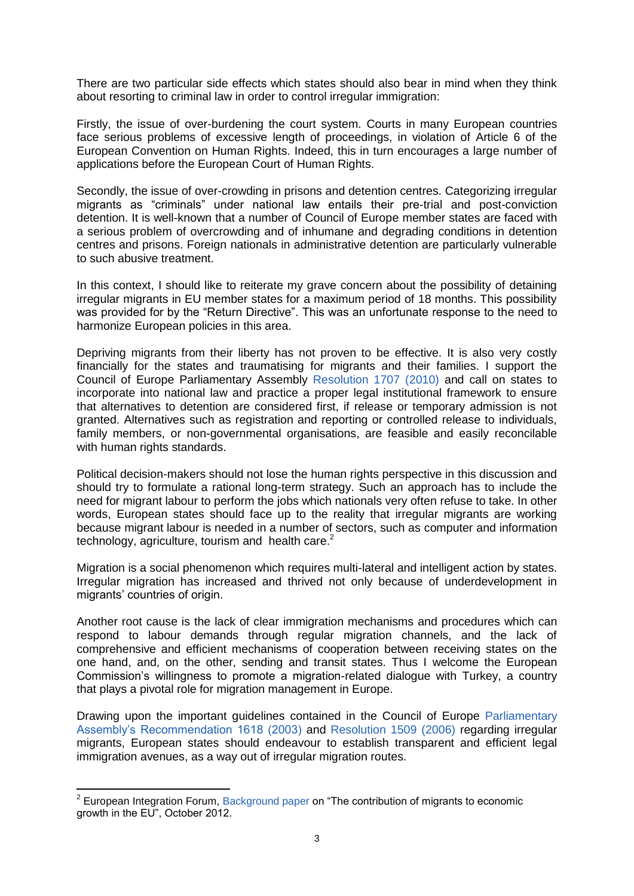There are two particular side effects which states should also bear in mind when they think about resorting to criminal law in order to control irregular immigration:

Firstly, the issue of over-burdening the court system. Courts in many European countries face serious problems of excessive length of proceedings, in violation of Article 6 of the European Convention on Human Rights. Indeed, this in turn encourages a large number of applications before the European Court of Human Rights.

Secondly, the issue of over-crowding in prisons and detention centres. Categorizing irregular migrants as "criminals" under national law entails their pre-trial and post-conviction detention. It is well-known that a number of Council of Europe member states are faced with a serious problem of overcrowding and of inhumane and degrading conditions in detention centres and prisons. Foreign nationals in administrative detention are particularly vulnerable to such abusive treatment.

In this context, I should like to reiterate my grave concern about the possibility of detaining irregular migrants in EU member states for a maximum period of 18 months. This possibility was provided for by the "Return Directive". This was an unfortunate response to the need to harmonize European policies in this area.

Depriving migrants from their liberty has not proven to be effective. It is also very costly financially for the states and traumatising for migrants and their families. I support the Council of Europe Parliamentary Assembly [Resolution 1707 \(2010\)](http://assembly.coe.int/Main.asp?link=/Documents/AdoptedText/ta10/ERES1707.htm) and call on states to incorporate into national law and practice a proper legal institutional framework to ensure that alternatives to detention are considered first, if release or temporary admission is not granted. Alternatives such as registration and reporting or controlled release to individuals, family members, or non-governmental organisations, are feasible and easily reconcilable with human rights standards.

Political decision-makers should not lose the human rights perspective in this discussion and should try to formulate a rational long-term strategy. Such an approach has to include the need for migrant labour to perform the jobs which nationals very often refuse to take. In other words, European states should face up to the reality that irregular migrants are working because migrant labour is needed in a number of sectors, such as computer and information technology, agriculture, tourism and health care.<sup>2</sup>

Migration is a social phenomenon which requires multi-lateral and intelligent action by states. Irregular migration has increased and thrived not only because of underdevelopment in migrants' countries of origin.

Another root cause is the lack of clear immigration mechanisms and procedures which can respond to labour demands through regular migration channels, and the lack of comprehensive and efficient mechanisms of cooperation between receiving states on the one hand, and, on the other, sending and transit states. Thus I welcome the European Commission's willingness to promote a migration-related dialogue with Turkey, a country that plays a pivotal role for migration management in Europe.

Drawing upon the important guidelines contained in the Council of Europe [Parliamentary](http://assembly.coe.int/main.asp?Link=/documents/adoptedtext/ta03/erec1618.htm#_ftn1)  [Assembly's Recommendation 1618 \(2003\)](http://assembly.coe.int/main.asp?Link=/documents/adoptedtext/ta03/erec1618.htm#_ftn1) and [Resolution 1509 \(2006\)](http://assembly.coe.int/Main.asp?link=/Documents/AdoptedText/ta06/ERES1509.htm) regarding irregular migrants, European states should endeavour to establish transparent and efficient legal immigration avenues, as a way out of irregular migration routes.

 2 European Integration Forum, [Background paper](http://www.eesc.europa.eu/resources/docs/background-paper_8thforum.pdf) on "The contribution of migrants to economic growth in the EU", October 2012.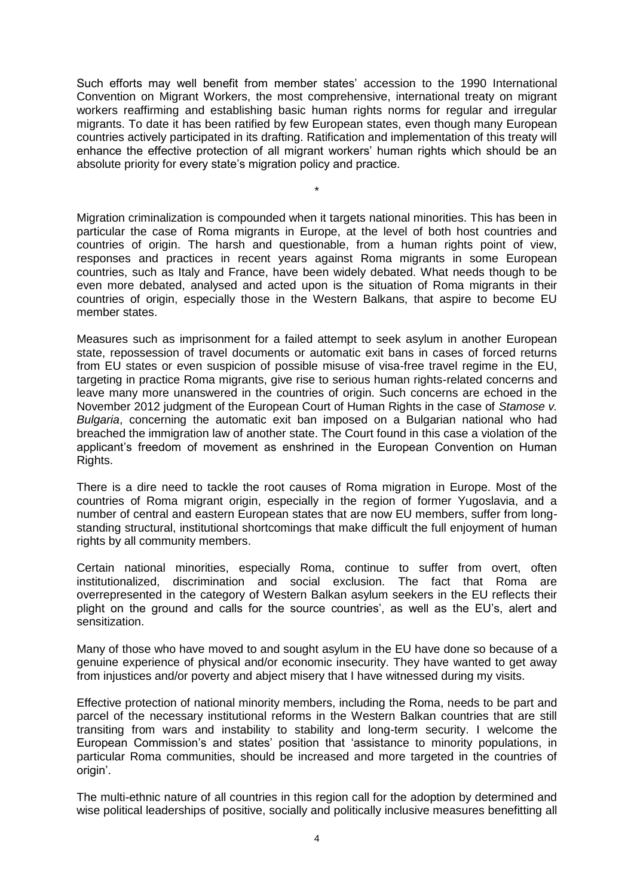Such efforts may well benefit from member states' accession to the 1990 International Convention on Migrant Workers, the most comprehensive, international treaty on migrant workers reaffirming and establishing basic human rights norms for regular and irregular migrants. To date it has been ratified by few European states, even though many European countries actively participated in its drafting. Ratification and implementation of this treaty will enhance the effective protection of all migrant workers' human rights which should be an absolute priority for every state's migration policy and practice.

\*

Migration criminalization is compounded when it targets national minorities. This has been in particular the case of Roma migrants in Europe, at the level of both host countries and countries of origin. The harsh and questionable, from a human rights point of view, responses and practices in recent years against Roma migrants in some European countries, such as Italy and France, have been widely debated. What needs though to be even more debated, analysed and acted upon is the situation of Roma migrants in their countries of origin, especially those in the Western Balkans, that aspire to become EU member states.

Measures such as imprisonment for a failed attempt to seek asylum in another European state, repossession of travel documents or automatic exit bans in cases of forced returns from EU states or even suspicion of possible misuse of visa-free travel regime in the EU, targeting in practice Roma migrants, give rise to serious human rights-related concerns and leave many more unanswered in the countries of origin. Such concerns are echoed in the November 2012 judgment of the European Court of Human Rights in the case of *Stamose v. Bulgaria*, concerning the automatic exit ban imposed on a Bulgarian national who had breached the immigration law of another state. The Court found in this case a violation of the applicant's freedom of movement as enshrined in the European Convention on Human Rights.

There is a dire need to tackle the root causes of Roma migration in Europe. Most of the countries of Roma migrant origin, especially in the region of former Yugoslavia, and a number of central and eastern European states that are now EU members, suffer from longstanding structural, institutional shortcomings that make difficult the full enjoyment of human rights by all community members.

Certain national minorities, especially Roma, continue to suffer from overt, often institutionalized, discrimination and social exclusion. The fact that Roma are overrepresented in the category of Western Balkan asylum seekers in the EU reflects their plight on the ground and calls for the source countries', as well as the EU's, alert and sensitization.

Many of those who have moved to and sought asylum in the EU have done so because of a genuine experience of physical and/or economic insecurity. They have wanted to get away from injustices and/or poverty and abject misery that I have witnessed during my visits.

Effective protection of national minority members, including the Roma, needs to be part and parcel of the necessary institutional reforms in the Western Balkan countries that are still transiting from wars and instability to stability and long-term security. I welcome the European Commission's and states' position that 'assistance to minority populations, in particular Roma communities, should be increased and more targeted in the countries of origin'.

The multi-ethnic nature of all countries in this region call for the adoption by determined and wise political leaderships of positive, socially and politically inclusive measures benefitting all